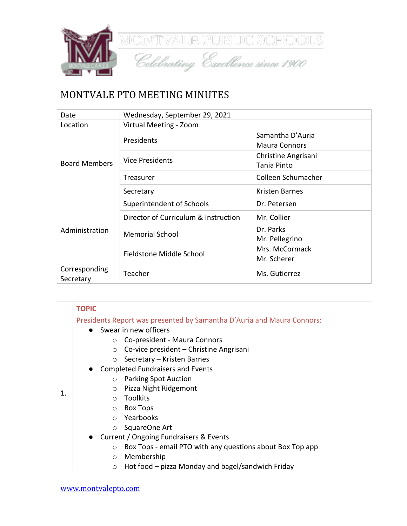

## MONTVALE PTO MEETING MINUTES

| Date                       | Wednesday, September 29, 2021        |                      |
|----------------------------|--------------------------------------|----------------------|
| Location                   | Virtual Meeting - Zoom               |                      |
|                            | Presidents                           | Samantha D'Auria     |
|                            |                                      | <b>Maura Connors</b> |
| <b>Board Members</b>       | <b>Vice Presidents</b>               | Christine Angrisani  |
|                            |                                      | Tania Pinto          |
|                            | Treasurer                            | Colleen Schumacher   |
|                            | Secretary                            | Kristen Barnes       |
|                            | Superintendent of Schools            | Dr. Petersen         |
|                            | Director of Curriculum & Instruction | Mr. Collier          |
| Administration             | <b>Memorial School</b>               | Dr. Parks            |
|                            |                                      | Mr. Pellegrino       |
|                            | Fieldstone Middle School             | Mrs. McCormack       |
|                            |                                      | Mr. Scherer          |
| Corresponding<br>Secretary | Teacher                              | Ms. Gutierrez        |

|    | <b>TOPIC</b>                                                                                                                                                                                                                                                                                                                                                                                                                                   |  |
|----|------------------------------------------------------------------------------------------------------------------------------------------------------------------------------------------------------------------------------------------------------------------------------------------------------------------------------------------------------------------------------------------------------------------------------------------------|--|
| 1. | Presidents Report was presented by Samantha D'Auria and Maura Connors:<br>Swear in new officers<br>$\bullet$<br>Co-president - Maura Connors<br>$\circ$<br>Co-vice president - Christine Angrisani<br>$\circ$<br>Secretary - Kristen Barnes<br>$\circ$<br><b>Completed Fundraisers and Events</b><br><b>Parking Spot Auction</b><br>$\circ$<br>Pizza Night Ridgemont<br>$\circ$<br><b>Toolkits</b><br>$\bigcirc$<br><b>Box Tops</b><br>$\circ$ |  |
|    | Yearbooks<br>$\bigcap$                                                                                                                                                                                                                                                                                                                                                                                                                         |  |
|    | SquareOne Art<br>$\circ$                                                                                                                                                                                                                                                                                                                                                                                                                       |  |
|    | Current / Ongoing Fundraisers & Events<br>$\bullet$                                                                                                                                                                                                                                                                                                                                                                                            |  |
|    | Box Tops - email PTO with any questions about Box Top app<br>$\circ$                                                                                                                                                                                                                                                                                                                                                                           |  |
|    | Membership<br>$\circ$                                                                                                                                                                                                                                                                                                                                                                                                                          |  |
|    | Hot food – pizza Monday and bagel/sandwich Friday<br>$\circ$                                                                                                                                                                                                                                                                                                                                                                                   |  |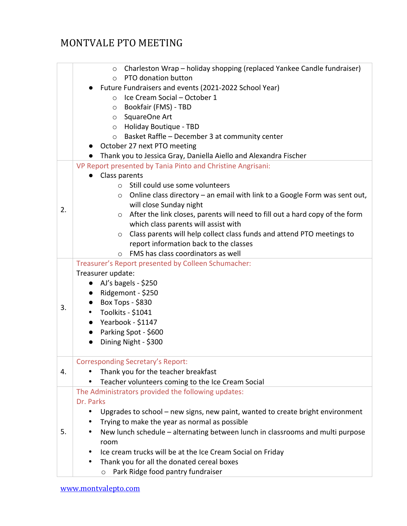# MONTVALE PTO MEETING

|    | Charleston Wrap - holiday shopping (replaced Yankee Candle fundraiser)<br>$\circ$       |  |  |
|----|-----------------------------------------------------------------------------------------|--|--|
|    | PTO donation button<br>$\circ$                                                          |  |  |
|    | Future Fundraisers and events (2021-2022 School Year)                                   |  |  |
|    | Ice Cream Social - October 1<br>$\circ$                                                 |  |  |
|    | Bookfair (FMS) - TBD<br>$\circ$                                                         |  |  |
|    | SquareOne Art<br>$\circ$                                                                |  |  |
|    | O Holiday Boutique - TBD                                                                |  |  |
|    | Basket Raffle - December 3 at community center<br>$\circ$                               |  |  |
|    | October 27 next PTO meeting                                                             |  |  |
|    | Thank you to Jessica Gray, Daniella Aiello and Alexandra Fischer                        |  |  |
|    | VP Report presented by Tania Pinto and Christine Angrisani:                             |  |  |
|    | Class parents                                                                           |  |  |
|    | Still could use some volunteers<br>$\circ$                                              |  |  |
|    | $\circ$ Online class directory – an email with link to a Google Form was sent out,      |  |  |
| 2. | will close Sunday night                                                                 |  |  |
|    | After the link closes, parents will need to fill out a hard copy of the form<br>$\circ$ |  |  |
|    | which class parents will assist with                                                    |  |  |
|    | o Class parents will help collect class funds and attend PTO meetings to                |  |  |
|    | report information back to the classes                                                  |  |  |
|    | FMS has class coordinators as well<br>$\circ$                                           |  |  |
|    | Treasurer's Report presented by Colleen Schumacher:                                     |  |  |
|    | Treasurer update:                                                                       |  |  |
|    | AJ's bagels - \$250<br>$\bullet$                                                        |  |  |
|    | Ridgemont - \$250<br>$\bullet$                                                          |  |  |
|    | Box Tops - \$830                                                                        |  |  |
| 3. | Toolkits - \$1041                                                                       |  |  |
|    | Yearbook - \$1147<br>$\bullet$                                                          |  |  |
|    | Parking Spot - \$600                                                                    |  |  |
|    | Dining Night - \$300                                                                    |  |  |
|    |                                                                                         |  |  |
|    | <b>Corresponding Secretary's Report:</b>                                                |  |  |
| 4. | Thank you for the teacher breakfast                                                     |  |  |
|    | Teacher volunteers coming to the Ice Cream Social                                       |  |  |
|    | The Administrators provided the following updates:                                      |  |  |
|    | Dr. Parks                                                                               |  |  |
|    | Upgrades to school - new signs, new paint, wanted to create bright environment          |  |  |
|    | Trying to make the year as normal as possible                                           |  |  |
| 5. | New lunch schedule – alternating between lunch in classrooms and multi purpose          |  |  |
|    | room                                                                                    |  |  |
|    | Ice cream trucks will be at the Ice Cream Social on Friday                              |  |  |
|    | Thank you for all the donated cereal boxes                                              |  |  |
|    | Park Ridge food pantry fundraiser<br>$\circ$                                            |  |  |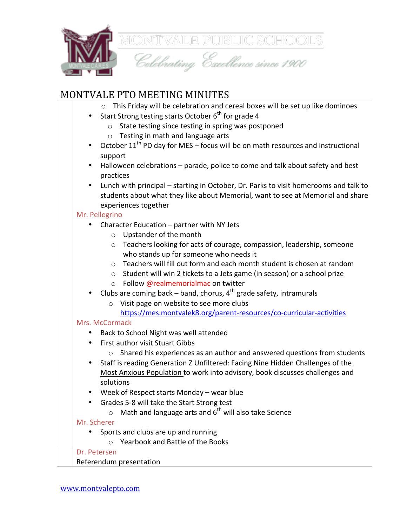

## MONTVALE PTO MEETING MINUTES

| ONTVALE PTO MEETING MINUTES                                                                                                                                        |  |  |
|--------------------------------------------------------------------------------------------------------------------------------------------------------------------|--|--|
| This Friday will be celebration and cereal boxes will be set up like dominoes<br>$\circ$                                                                           |  |  |
| Start Strong testing starts October 6 <sup>th</sup> for grade 4                                                                                                    |  |  |
| State testing since testing in spring was postponed<br>$\circ$                                                                                                     |  |  |
| Testing in math and language arts<br>$\circ$                                                                                                                       |  |  |
| October 11 <sup>th</sup> PD day for MES - focus will be on math resources and instructional                                                                        |  |  |
| support                                                                                                                                                            |  |  |
| Halloween celebrations - parade, police to come and talk about safety and best<br>٠                                                                                |  |  |
| practices                                                                                                                                                          |  |  |
| Lunch with principal - starting in October, Dr. Parks to visit homerooms and talk to<br>٠                                                                          |  |  |
| students about what they like about Memorial, want to see at Memorial and share                                                                                    |  |  |
| experiences together                                                                                                                                               |  |  |
| Mr. Pellegrino                                                                                                                                                     |  |  |
| Character Education - partner with NY Jets                                                                                                                         |  |  |
| Upstander of the month<br>$\circ$                                                                                                                                  |  |  |
| Teachers looking for acts of courage, compassion, leadership, someone<br>$\circ$                                                                                   |  |  |
| who stands up for someone who needs it                                                                                                                             |  |  |
| Teachers will fill out form and each month student is chosen at random<br>$\circ$                                                                                  |  |  |
| Student will win 2 tickets to a Jets game (in season) or a school prize<br>$\circ$                                                                                 |  |  |
| Follow @realmemorialmac on twitter<br>$\circ$<br>$\bullet$                                                                                                         |  |  |
| Clubs are coming back $-$ band, chorus, $4th$ grade safety, intramurals                                                                                            |  |  |
| Visit page on website to see more clubs<br>$\circ$<br>https://mes.montvalek8.org/parent-resources/co-curricular-activities                                         |  |  |
| Mrs. McCormack                                                                                                                                                     |  |  |
|                                                                                                                                                                    |  |  |
| Back to School Night was well attended<br><b>First author visit Stuart Gibbs</b>                                                                                   |  |  |
|                                                                                                                                                                    |  |  |
| Shared his experiences as an author and answered questions from students<br>$\circ$                                                                                |  |  |
| Staff is reading Generation Z Unfiltered: Facing Nine Hidden Challenges of the<br>بمالحوام وموجبين والمراجع والبريون والمحاجبات والرويين وللمراجع والمروا ويتمارين |  |  |

- Most Anxious Population to work into advisory, book discusses challenges and solutions
- Week of Respect starts Monday wear blue
- Grades 5-8 will take the Start Strong test
	- $\circ$  Math and language arts and  $6^{th}$  will also take Science

#### Mr. Scherer

- Sports and clubs are up and running
	- $\circ$  Yearbook and Battle of the Books

### Dr. Petersen

**BRIT ECETSEN**<br>Referendum presentation